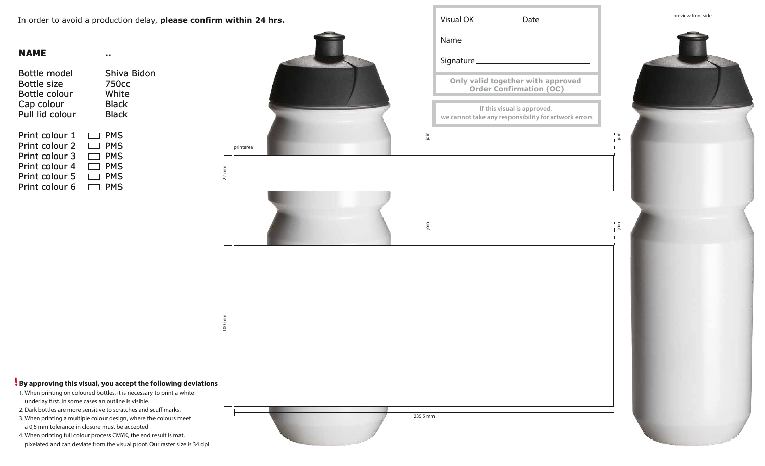| <b>NAME</b>        |                   |
|--------------------|-------------------|
| Bottle model       | Shiva Bidon       |
| <b>Bottle size</b> | 750 <sub>cc</sub> |
| Bottle colour      | White             |
| Cap colour         | Black             |
| Pull lid colour    | <b>Black</b>      |
| Print colour 1     | <b>PMS</b>        |
| Print colour 2     | <b>PMS</b>        |
| Print colour 3     | <b>PMS</b>        |
| Print colour 4     | <b>PMS</b>        |
| Print colour 5     | PMS               |
| Print colour 6     | PMS               |



- 1. When printing on coloured bottles, it is necessary to print a white underlay first. In some cases an outline is visible.
- 2. Dark bottles are more sensitive to scratches and scuff marks.
- 3. When printing a multiple colour design, where the colours meet a 0,5 mm tolerance in closure must be accepted
- 4. When printing full colour process CMYK, the end result is mat, pixelated and can deviate from the visual proof. Our raster size is 34 dpi.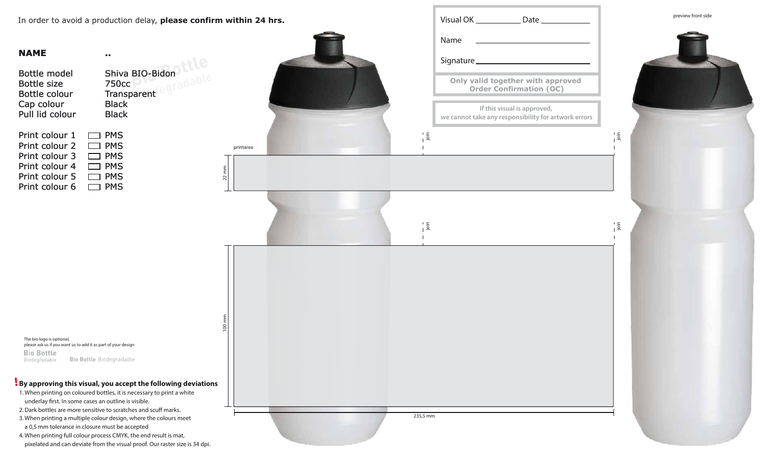Bottle model Bottle size Bottle colour Cap colour Pull lid colour Print colour 1 Print colour 2 Print colour 3 Print colour 4 Print colour 5 Print colour 6 750cc Transparent Black **Black**  $\Box$  PMS  $\Box$  PMS  $\Box$  PMS  $\Box$  PMS  $\Box$  PMS **D** PMS

#### **NAME**

**..**

The bio logo is optional, please ask us if you want us to add it as part of your design**Bio Bottle Bio Bottle Biodegradable** Biodegradable



#### **By approving this visual, you accept the following deviations !**

- 1. When printing on coloured bottles, it is necessary to print a white underlay first. In some cases an outline is visible.
- 2. Dark bottles are more sensitive to scratches and scuff marks.
- 3. When printing a multiple colour design, where the colours meet a 0,5 mm tolerance in closure must be accepted
- 4. When printing full colour process CMYK, the end result is mat, pixelated and can deviate from the visual proof. Our raster size is 34 dpi.



100 mm



 $\frac{1}{1}$ . $\frac{5}{1}$ 

|               | Visual OK ____                                  |
|---------------|-------------------------------------------------|
|               | Name                                            |
|               | Signature <sub>__________</sub>                 |
|               | Only valid together<br><b>Order Confirm</b>     |
|               | If this visual is<br>we cannot take any respons |
| $\frac{1}{2}$ |                                                 |
|               |                                                 |
|               |                                                 |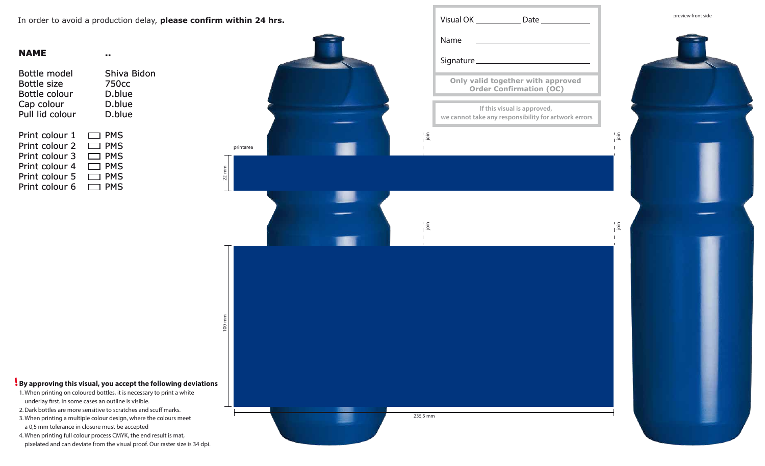| NAME               |                   |
|--------------------|-------------------|
| Bottle model       | Shiva Bidon       |
| <b>Bottle size</b> | 750 <sub>cc</sub> |
| Bottle colour      | D.blue            |
| Cap colour         | D.blue            |
| Pull lid colour    | D.blue            |
| Print colour 1     | <b>PMS</b>        |
| Print colour 2     | <b>PMS</b>        |
| Print colour 3     | <b>PMS</b>        |
| Print colour 4     | <b>PMS</b>        |
| Print colour 5     | <b>PMS</b>        |
| Print colour 6     | <b>PMS</b>        |

preview front side

- 1. When printing on coloured bottles, it is necessary to print a white underlay first. In some cases an outline is visible.
- 2. Dark bottles are more sensitive to scratches and scuff marks.
- 3. When printing a multiple colour design, where the colours meet a 0,5 mm tolerance in closure must be accepted
- 4. When printing full colour process CMYK, the end result is mat, pixelated and can deviate from the visual proof. Our raster size is 34 dpi.

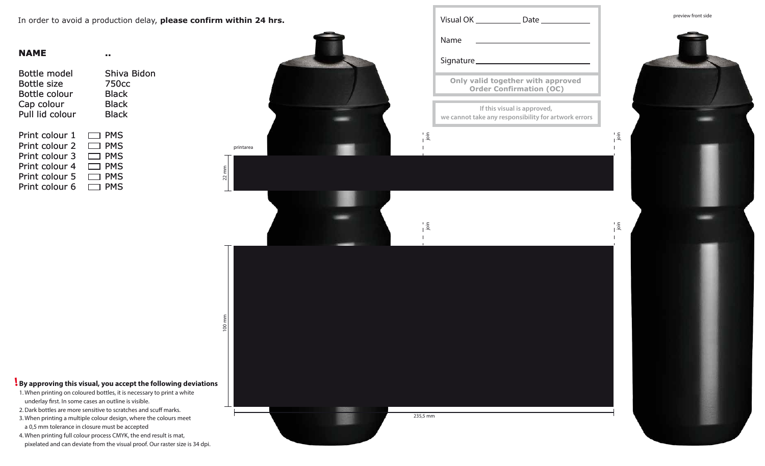**Bidon** 

| Shiva        |
|--------------|
| 750cc        |
| Black        |
| <b>Black</b> |
| Black        |
|              |
| <b>PMS</b>   |
| <b>PMS</b>   |
| <b>PMS</b>   |
| <b>PMS</b>   |
| <b>PMS</b>   |
| PMS          |
|              |

**..**



- 1. When printing on coloured bottles, it is necessary to print a white underlay first. In some cases an outline is visible.
- 2. Dark bottles are more sensitive to scratches and scuff marks.
- 3. When printing a multiple colour design, where the colours meet a 0,5 mm tolerance in closure must be accepted
- 4. When printing full colour process CMYK, the end result is mat, pixelated and can deviate from the visual proof. Our raster size is 34 dpi.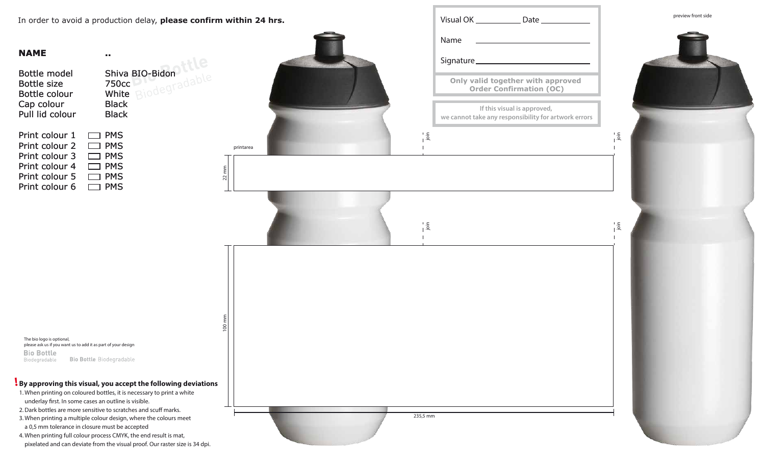#### **NAME**

| Bottle model<br><b>Bottle size</b><br>Bottle colour<br>Cap colour<br>Pull lid colour | Shiva BIO-Bidon<br>750 <sub>cc</sub><br>Binde<br>White<br><b>Black</b><br><b>Black</b> |
|--------------------------------------------------------------------------------------|----------------------------------------------------------------------------------------|
| Print colour 1                                                                       | <b>PMS</b>                                                                             |
| Print colour 2                                                                       | <b>PMS</b>                                                                             |
| Print colour 3                                                                       | <b>PMS</b>                                                                             |
| Print colour 4                                                                       | <b>PMS</b>                                                                             |
| Print colour 5                                                                       | <b>PMS</b>                                                                             |
| Print colour 6                                                                       | PMS                                                                                    |

**..**

#### **By approving this visual, you accept the following deviations !**



The bio logo is optional, please ask us if you want us to add it as part of your design **Bio Bottle Bio Bottle Biodegradable** Biodegradable

- 1. When printing on coloured bottles, it is necessary to print a white underlay first. In some cases an outline is visible.
- 2. Dark bottles are more sensitive to scratches and scuff marks.
- 3. When printing a multiple colour design, where the colours meet a 0,5 mm tolerance in closure must be accepted
- 4. When printing full colour process CMYK, the end result is mat, pixelated and can deviate from the visual proof. Our raster size is 34 dpi.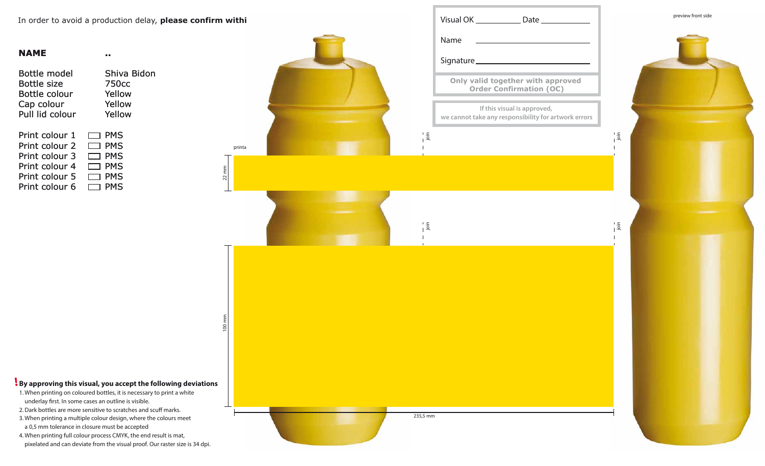| NAME            |             |
|-----------------|-------------|
| Bottle model    | Shiva Bidon |
| Bottle size     | 750cc       |
| Bottle colour   | Yellow      |
| Cap colour      | Yellow      |
| Pull lid colour | Yellow      |
| Print colour 1  | PMS         |
| Print colour 2  | PMS         |
| Print colour 3  | PMS         |
| Print colour 4  | PMS         |
| Print colour 5  | PMS         |
| Print colour 6  | PMS         |



- 1. When printing on coloured bottles, it is necessary to print a white underlay first. In some cases an outline is visible.
- 2. Dark bottles are more sensitive to scratches and scuff marks.
- 3. When printing a multiple colour design, where the colours meet a 0,5 mm tolerance in closure must be accepted
- 4. When printing full colour process CMYK, the end result is mat, pixelated and can deviate from the visual proof. Our raster size is 34 dpi.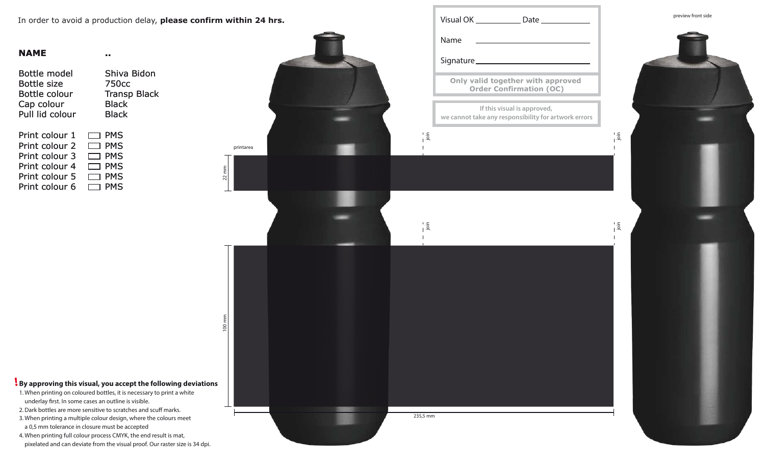**NAME**

| Bottle model       | Shiva Bidon         |
|--------------------|---------------------|
| <b>Bottle size</b> | 750 <sub>cc</sub>   |
| Bottle colour      | <b>Transp Black</b> |
| Cap colour         | <b>Black</b>        |
| Pull lid colour    | Black               |
| Print colour 1     | <b>PMS</b>          |
| Print colour 2     | <b>PMS</b>          |
| Print colour 3     | <b>PMS</b>          |
| Print colour 4     | <b>PMS</b>          |
| Print colour 5     | <b>PMS</b>          |
| Print colour 6     | PMS                 |

**..**



- 1. When printing on coloured bottles, it is necessary to print a white underlay first. In some cases an outline is visible.
- 2. Dark bottles are more sensitive to scratches and scuff marks.
- 3. When printing a multiple colour design, where the colours meet a 0,5 mm tolerance in closure must be accepted
- 4. When printing full colour process CMYK, the end result is mat, pixelated and can deviate from the visual proof. Our raster size is 34 dpi.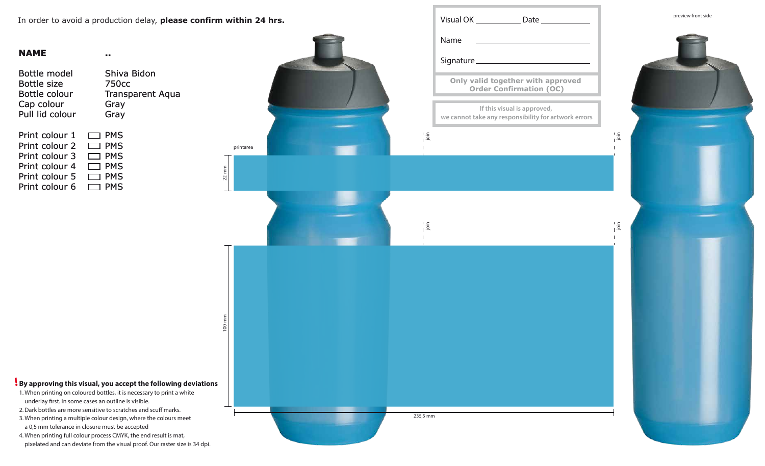| Bottle model       | Shiva Bidon             |
|--------------------|-------------------------|
| <b>Bottle size</b> | 750 <sub>cc</sub>       |
| Bottle colour      | <b>Transparent Aqua</b> |
| Cap colour         | Gray                    |
| Pull lid colour    | Gray                    |
| Print colour 1     | <b>PMS</b>              |
| Print colour 2     | <b>PMS</b>              |
| Print colour 3     | <b>PMS</b>              |
| Print colour 4     | <b>PMS</b>              |
| Print colour 5     | <b>PMS</b>              |
| Print colour 6     | <b>PMS</b>              |

**..**



- 1. When printing on coloured bottles, it is necessary to print a white underlay first. In some cases an outline is visible.
- 2. Dark bottles are more sensitive to scratches and scuff marks.
- 3. When printing a multiple colour design, where the colours meet a 0,5 mm tolerance in closure must be accepted
- 4. When printing full colour process CMYK, the end result is mat, pixelated and can deviate from the visual proof. Our raster size is 34 dpi.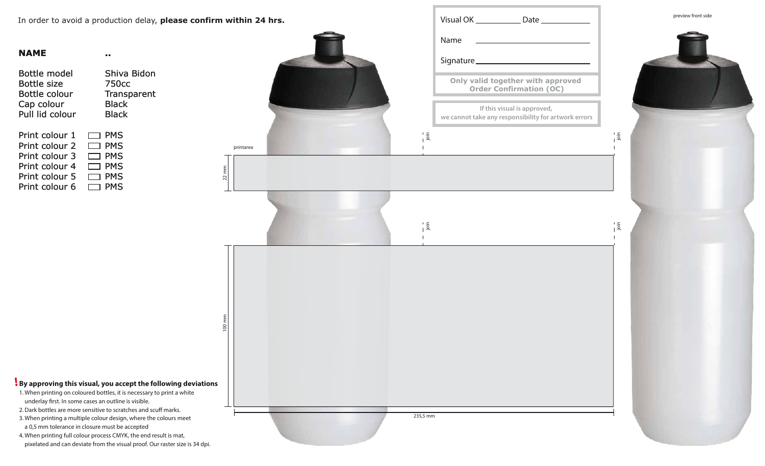| Bottle model    | Shiva Bidon        |
|-----------------|--------------------|
| Bottle size     | 750 <sub>cc</sub>  |
| Bottle colour   | <b>Transparent</b> |
| Cap colour      | <b>Black</b>       |
| Pull lid colour | Black              |
| Print colour 1  | <b>PMS</b>         |
| Print colour 2  | <b>PMS</b>         |
| Print colour 3  | <b>PMS</b>         |
| Print colour 4  | <b>PMS</b>         |
| Print colour 5  | <b>PMS</b>         |
| Print colour 6  | PMS                |

**..**



- 1. When printing on coloured bottles, it is necessary to print a white underlay first. In some cases an outline is visible.
- 2. Dark bottles are more sensitive to scratches and scuff marks.
- 3. When printing a multiple colour design, where the colours meet a 0,5 mm tolerance in closure must be accepted
- 4. When printing full colour process CMYK, the end result is mat, pixelated and can deviate from the visual proof. Our raster size is 34 dpi.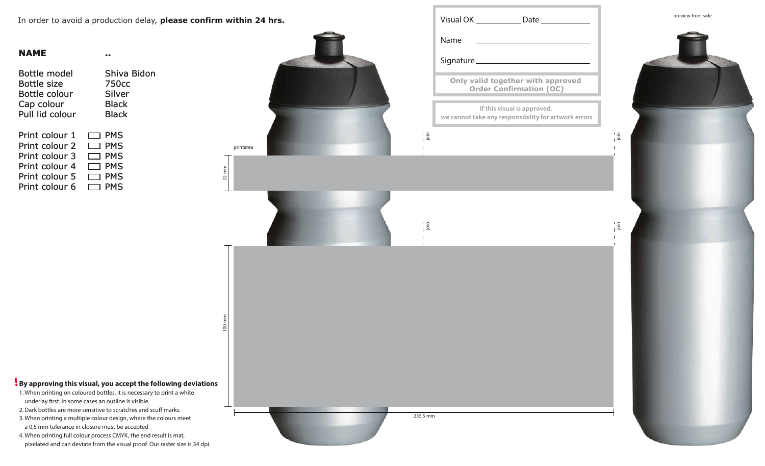**Bidon** 

| Shiva<br>750cc |
|----------------|
| Silver         |
| <b>Black</b>   |
| Black          |
|                |
| <b>PMS</b>     |
| <b>PMS</b>     |
| <b>PMS</b>     |
| <b>PMS</b>     |
| <b>PMS</b>     |
| PMS            |
|                |

**..**

### **By approving this visual, you accept the following deviations !**



- 1. When printing on coloured bottles, it is necessary to print a white underlay first. In some cases an outline is visible.
- 2. Dark bottles are more sensitive to scratches and scuff marks.
- 3. When printing a multiple colour design, where the colours meet a 0,5 mm tolerance in closure must be accepted
- 4. When printing full colour process CMYK, the end result is mat, pixelated and can deviate from the visual proof. Our raster size is 34 dpi.

100 mm

 $2^{2}$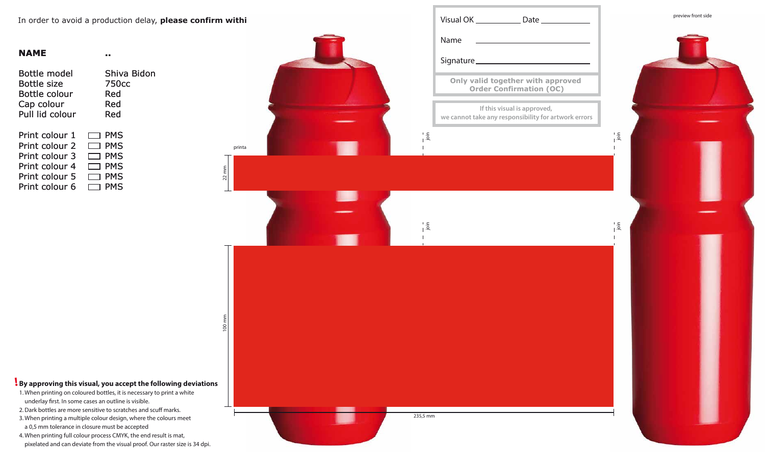| NAME            |             |
|-----------------|-------------|
| Bottle model    | Shiva Bidon |
| Bottle size     | 750cc       |
| Bottle colour   | Red         |
| Cap colour      | Red         |
| Pull lid colour | Red         |
| Print colour 1  | <b>PMS</b>  |
| Print colour 2  | <b>PMS</b>  |
| Print colour 3  | <b>PMS</b>  |
| Print colour 4  | <b>PMS</b>  |
| Print colour 5  | <b>PMS</b>  |
| Print colour 6  | PMS         |



- 1. When printing on coloured bottles, it is necessary to print a white underlay first. In some cases an outline is visible.
- 2. Dark bottles are more sensitive to scratches and scuff marks.
- 3. When printing a multiple colour design, where the colours meet a 0,5 mm tolerance in closure must be accepted
- 4. When printing full colour process CMYK, the end result is mat, pixelated and can deviate from the visual proof. Our raster size is 34 dpi.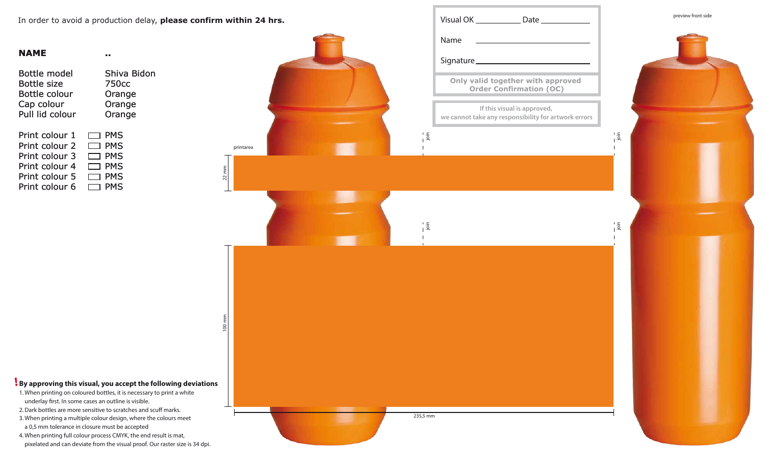| NAME            |                   |
|-----------------|-------------------|
| Bottle model    | Shiva Bidon       |
| Bottle size     | 750 <sub>cc</sub> |
| Bottle colour   | Orange            |
| Cap colour      | Orange            |
| Pull lid colour | Orange            |
| Print colour 1  | PMS               |
| Print colour 2  | <b>PMS</b>        |
| Print colour 3  | PMS               |
| Print colour 4  | <b>PMS</b>        |
| Print colour 5  | PMS               |
| Print colour 6  | PMS               |

preview front side

- 1. When printing on coloured bottles, it is necessary to print a white underlay first. In some cases an outline is visible.
- 2. Dark bottles are more sensitive to scratches and scuff marks.
- 3. When printing a multiple colour design, where the colours meet a 0,5 mm tolerance in closure must be accepted
- 4. When printing full colour process CMYK, the end result is mat, pixelated and can deviate from the visual proof. Our raster size is 34 dpi.

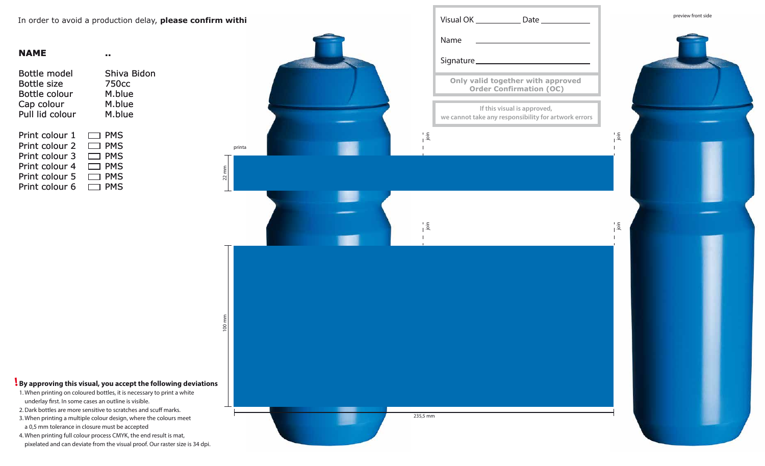| NAME            |              |
|-----------------|--------------|
| Bottle model    | Shiva Bidon  |
| Bottle size     | <b>750cc</b> |
| Bottle colour   | M.blue       |
| Cap colour      | M.blue       |
| Pull lid colour | M.blue       |
| Print colour 1  | <b>PMS</b>   |
| Print colour 2  | PMS          |
| Print colour 3  | <b>PMS</b>   |
| Print colour 4  | PMS          |
| Print colour 5  | PMS          |
| Print colour 6  | PMS          |



- 1. When printing on coloured bottles, it is necessary to print a white underlay first. In some cases an outline is visible.
- 2. Dark bottles are more sensitive to scratches and scuff marks.
- 3. When printing a multiple colour design, where the colours meet a 0,5 mm tolerance in closure must be accepted
- 4. When printing full colour process CMYK, the end result is mat, pixelated and can deviate from the visual proof. Our raster size is 34 dpi.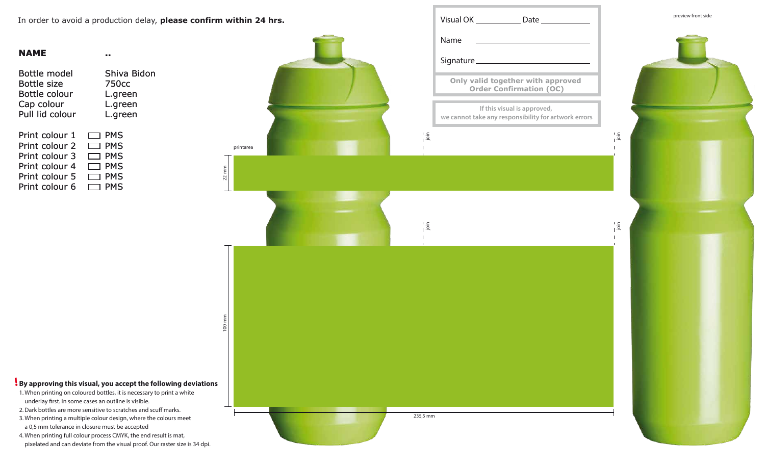| NAME            |                   |
|-----------------|-------------------|
| Bottle model    | Shiva Bidon       |
| Bottle size     | 750 <sub>cc</sub> |
| Bottle colour   | L.green           |
| Cap colour      | L.green           |
| Pull lid colour | L.green           |
| Print colour 1  | <b>PMS</b>        |
| Print colour 2  | <b>PMS</b>        |
| Print colour 3  | <b>PMS</b>        |
| Print colour 4  | <b>PMS</b>        |
| Print colour 5  | PMS               |
| Print colour 6  | PMS               |



- 1. When printing on coloured bottles, it is necessary to print a white underlay first. In some cases an outline is visible.
- 2. Dark bottles are more sensitive to scratches and scuff marks.
- 3. When printing a multiple colour design, where the colours meet a 0,5 mm tolerance in closure must be accepted
- 4. When printing full colour process CMYK, the end result is mat, pixelated and can deviate from the visual proof. Our raster size is 34 dpi.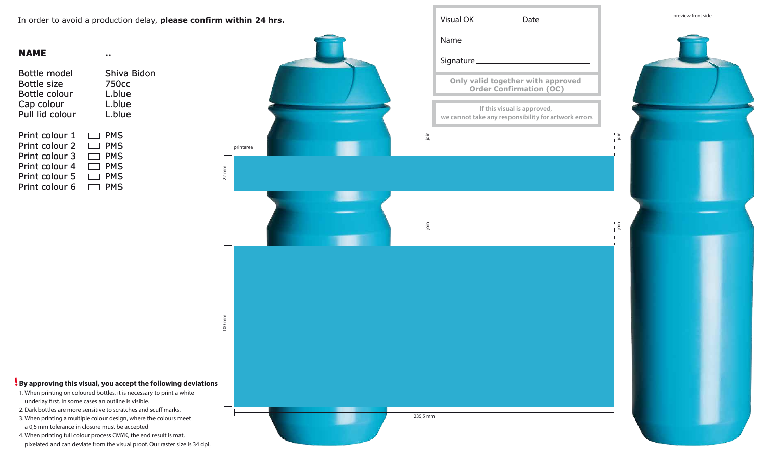| NAME            |                   |
|-----------------|-------------------|
| Bottle model    | Shiva Bidon       |
| Bottle size     | 750 <sub>cc</sub> |
| Bottle colour   | L.blue            |
| Cap colour      | L.blue            |
| Pull lid colour | L.blue            |
| Print colour 1  | <b>PMS</b>        |
| Print colour 2  | <b>PMS</b>        |
| Print colour 3  | <b>PMS</b>        |
| Print colour 4  | PMS               |
| Print colour 5  | <b>PMS</b>        |
| Print colour 6  | PMS               |

preview front side

- 1. When printing on coloured bottles, it is necessary to print a white underlay first. In some cases an outline is visible.
- 2. Dark bottles are more sensitive to scratches and scuff marks.
- 3. When printing a multiple colour design, where the colours meet a 0,5 mm tolerance in closure must be accepted
- 4. When printing full colour process CMYK, the end result is mat, pixelated and can deviate from the visual proof. Our raster size is 34 dpi.

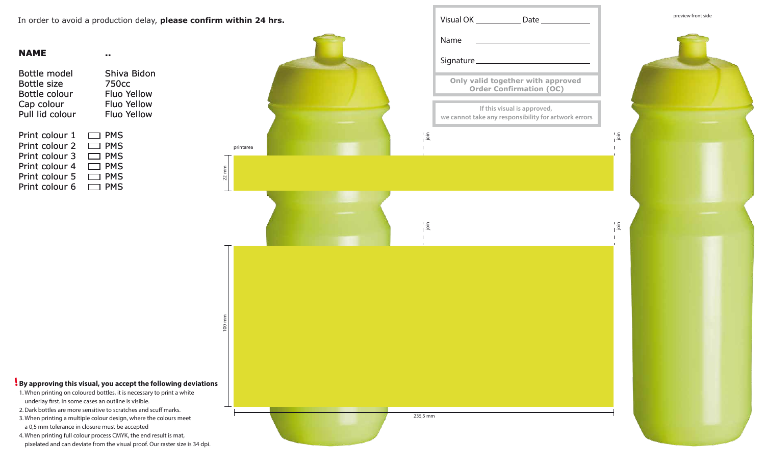**NAME**

| Shiva Bidon        |
|--------------------|
| 750cc              |
| Fluo Yellow        |
| <b>Fluo Yellow</b> |
| <b>Fluo Yellow</b> |
|                    |
| <b>PMS</b>         |
| <b>PMS</b>         |
| <b>PMS</b>         |
| <b>PMS</b>         |
| <b>PMS</b>         |
| PMS                |
|                    |

**..**

2. Dark bottles are more sensitive to scratches and scuff marks. 3. When printing a multiple colour design, where the colours meet

1. When printing on coloured bottles, it is necessary to print a white

**By approving this visual, you accept the following deviations !**



a 0,5 mm tolerance in closure must be accepted

4. When printing full colour process CMYK, the end result is mat,

underlay first. In some cases an outline is visible.

pixelated and can deviate from the visual proof. Our raster size is 34 dpi.